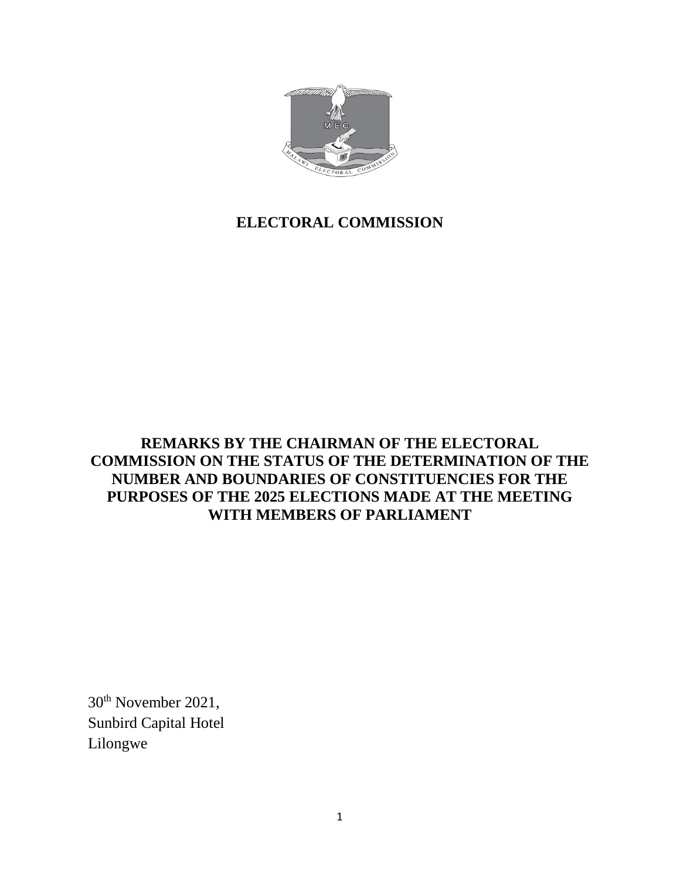

# **ELECTORAL COMMISSION**

## **REMARKS BY THE CHAIRMAN OF THE ELECTORAL COMMISSION ON THE STATUS OF THE DETERMINATION OF THE NUMBER AND BOUNDARIES OF CONSTITUENCIES FOR THE PURPOSES OF THE 2025 ELECTIONS MADE AT THE MEETING WITH MEMBERS OF PARLIAMENT**

30th November 2021, Sunbird Capital Hotel Lilongwe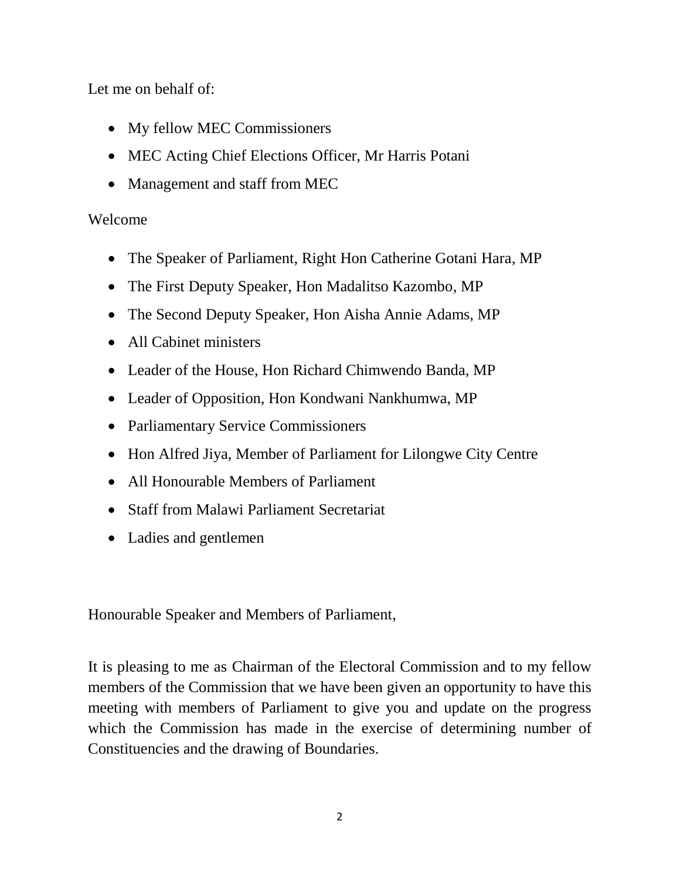Let me on behalf of:

- My fellow MEC Commissioners
- MEC Acting Chief Elections Officer, Mr Harris Potani
- Management and staff from MEC

# Welcome

- The Speaker of Parliament, Right Hon Catherine Gotani Hara, MP
- The First Deputy Speaker, Hon Madalitso Kazombo, MP
- The Second Deputy Speaker, Hon Aisha Annie Adams, MP
- All Cabinet ministers
- Leader of the House, Hon Richard Chimwendo Banda, MP
- Leader of Opposition, Hon Kondwani Nankhumwa, MP
- Parliamentary Service Commissioners
- Hon Alfred Jiya, Member of Parliament for Lilongwe City Centre
- All Honourable Members of Parliament
- Staff from Malawi Parliament Secretariat
- Ladies and gentlemen

Honourable Speaker and Members of Parliament,

It is pleasing to me as Chairman of the Electoral Commission and to my fellow members of the Commission that we have been given an opportunity to have this meeting with members of Parliament to give you and update on the progress which the Commission has made in the exercise of determining number of Constituencies and the drawing of Boundaries.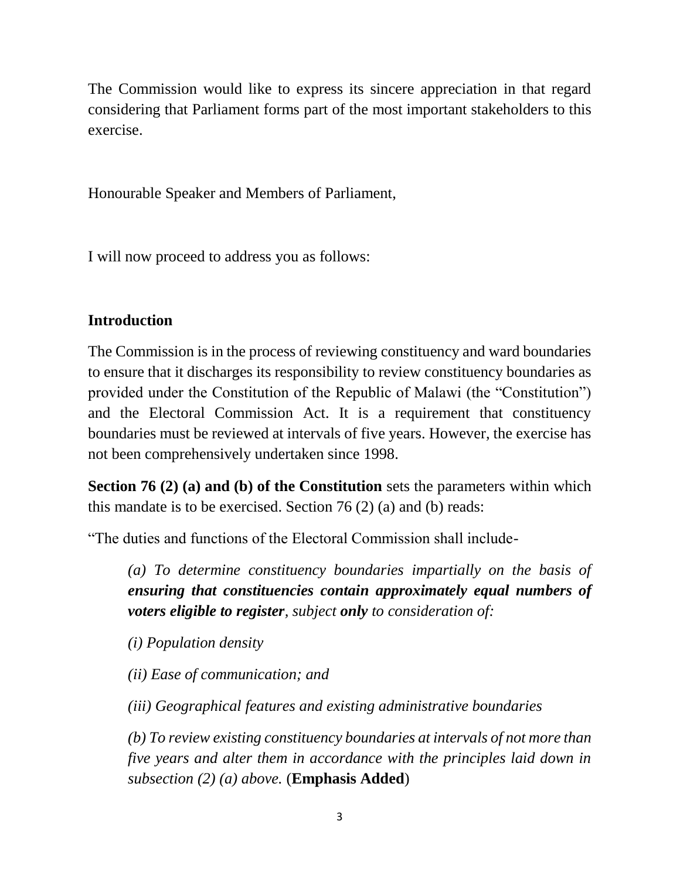The Commission would like to express its sincere appreciation in that regard considering that Parliament forms part of the most important stakeholders to this exercise.

Honourable Speaker and Members of Parliament,

I will now proceed to address you as follows:

## **Introduction**

The Commission is in the process of reviewing constituency and ward boundaries to ensure that it discharges its responsibility to review constituency boundaries as provided under the Constitution of the Republic of Malawi (the "Constitution") and the Electoral Commission Act. It is a requirement that constituency boundaries must be reviewed at intervals of five years. However, the exercise has not been comprehensively undertaken since 1998.

**Section 76 (2) (a) and (b) of the Constitution** sets the parameters within which this mandate is to be exercised. Section 76 (2) (a) and (b) reads:

"The duties and functions of the Electoral Commission shall include-

*(a) To determine constituency boundaries impartially on the basis of ensuring that constituencies contain approximately equal numbers of voters eligible to register, subject only to consideration of:* 

*(i) Population density* 

*(ii) Ease of communication; and* 

*(iii) Geographical features and existing administrative boundaries* 

*(b) To review existing constituency boundaries at intervals of not more than five years and alter them in accordance with the principles laid down in subsection (2) (a) above.* (**Emphasis Added**)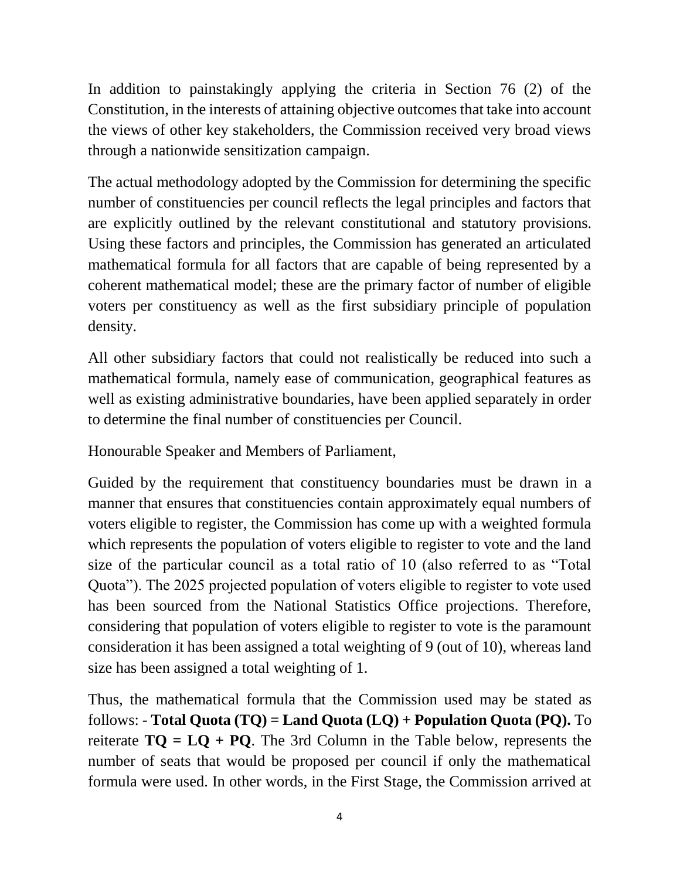In addition to painstakingly applying the criteria in Section 76 (2) of the Constitution, in the interests of attaining objective outcomes that take into account the views of other key stakeholders, the Commission received very broad views through a nationwide sensitization campaign.

The actual methodology adopted by the Commission for determining the specific number of constituencies per council reflects the legal principles and factors that are explicitly outlined by the relevant constitutional and statutory provisions. Using these factors and principles, the Commission has generated an articulated mathematical formula for all factors that are capable of being represented by a coherent mathematical model; these are the primary factor of number of eligible voters per constituency as well as the first subsidiary principle of population density.

All other subsidiary factors that could not realistically be reduced into such a mathematical formula, namely ease of communication, geographical features as well as existing administrative boundaries, have been applied separately in order to determine the final number of constituencies per Council.

Honourable Speaker and Members of Parliament,

Guided by the requirement that constituency boundaries must be drawn in a manner that ensures that constituencies contain approximately equal numbers of voters eligible to register, the Commission has come up with a weighted formula which represents the population of voters eligible to register to vote and the land size of the particular council as a total ratio of 10 (also referred to as "Total Quota"). The 2025 projected population of voters eligible to register to vote used has been sourced from the National Statistics Office projections. Therefore, considering that population of voters eligible to register to vote is the paramount consideration it has been assigned a total weighting of 9 (out of 10), whereas land size has been assigned a total weighting of 1.

Thus, the mathematical formula that the Commission used may be stated as follows: - **Total Quota (TQ) = Land Quota (LQ) + Population Quota (PQ).** To reiterate  $TO = LQ + PQ$ . The 3rd Column in the Table below, represents the number of seats that would be proposed per council if only the mathematical formula were used. In other words, in the First Stage, the Commission arrived at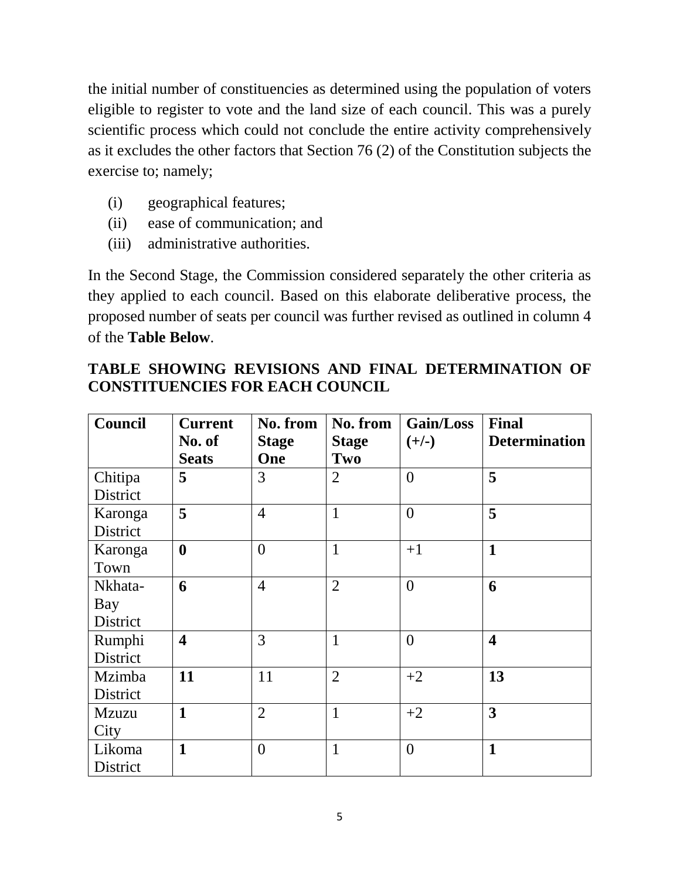the initial number of constituencies as determined using the population of voters eligible to register to vote and the land size of each council. This was a purely scientific process which could not conclude the entire activity comprehensively as it excludes the other factors that Section 76 (2) of the Constitution subjects the exercise to; namely;

- (i) geographical features;
- (ii) ease of communication; and
- (iii) administrative authorities.

In the Second Stage, the Commission considered separately the other criteria as they applied to each council. Based on this elaborate deliberative process, the proposed number of seats per council was further revised as outlined in column 4 of the **Table Below**.

|                                        |  |  |  |  | TABLE SHOWING REVISIONS AND FINAL DETERMINATION OF |  |  |
|----------------------------------------|--|--|--|--|----------------------------------------------------|--|--|
| <b>CONSTITUENCIES FOR EACH COUNCIL</b> |  |  |  |  |                                                    |  |  |

| Council      | <b>Current</b>          | No. from       | No. from       | Gain/Loss      | <b>Final</b>            |
|--------------|-------------------------|----------------|----------------|----------------|-------------------------|
|              | No. of                  | <b>Stage</b>   | <b>Stage</b>   | $(+/-)$        | <b>Determination</b>    |
|              | <b>Seats</b>            | One            | Two            |                |                         |
| Chitipa      | 5                       | 3              | $\overline{2}$ | $\overline{0}$ | 5                       |
| District     |                         |                |                |                |                         |
| Karonga      | 5                       | $\overline{4}$ | $\mathbf{1}$   | $\theta$       | 5                       |
| District     |                         |                |                |                |                         |
| Karonga      | $\boldsymbol{0}$        | $\overline{0}$ | $\mathbf{1}$   | $+1$           | $\mathbf{1}$            |
| Town         |                         |                |                |                |                         |
| Nkhata-      | 6                       | $\overline{4}$ | $\overline{2}$ | $\overline{0}$ | 6                       |
| Bay          |                         |                |                |                |                         |
| District     |                         |                |                |                |                         |
| Rumphi       | $\overline{\mathbf{4}}$ | 3              | $\mathbf{1}$   | $\overline{0}$ | $\overline{\mathbf{4}}$ |
| District     |                         |                |                |                |                         |
| Mzimba       | 11                      | 11             | $\overline{2}$ | $+2$           | 13                      |
| District     |                         |                |                |                |                         |
| <b>Mzuzu</b> | $\mathbf{1}$            | $\overline{2}$ | $\mathbf{1}$   | $+2$           | $\overline{\mathbf{3}}$ |
| City         |                         |                |                |                |                         |
| Likoma       | $\mathbf{1}$            | $\overline{0}$ | $\mathbf{1}$   | $\theta$       | $\mathbf{1}$            |
| District     |                         |                |                |                |                         |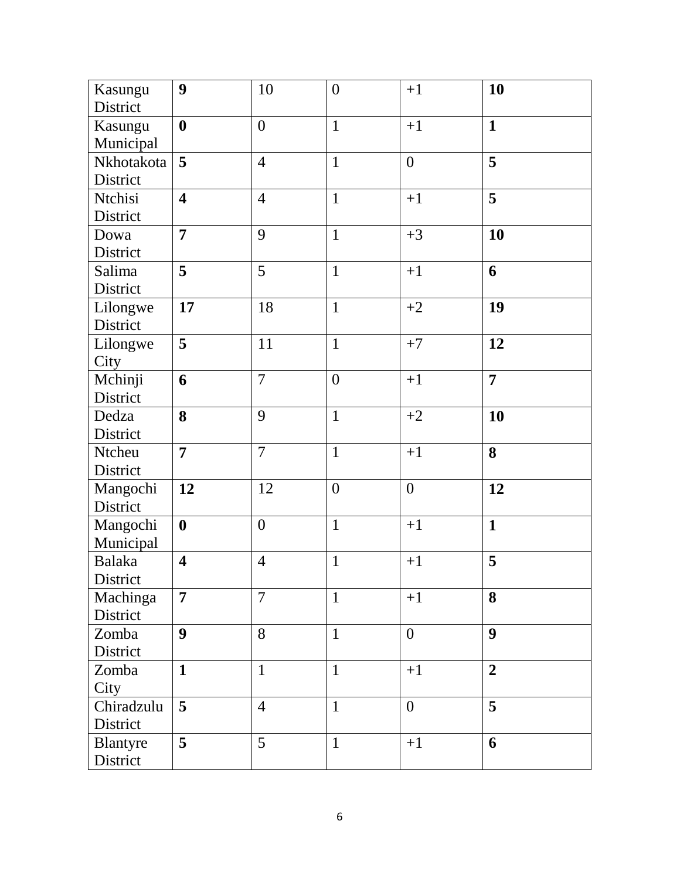| Kasungu       | 9                       | 10             | $\boldsymbol{0}$ | $+1$             | 10                      |
|---------------|-------------------------|----------------|------------------|------------------|-------------------------|
| District      |                         |                |                  |                  |                         |
| Kasungu       | $\boldsymbol{0}$        | $\overline{0}$ | $\mathbf{1}$     | $+1$             | $\mathbf{1}$            |
| Municipal     |                         |                |                  |                  |                         |
| Nkhotakota    | $\overline{\mathbf{5}}$ | $\overline{4}$ | $\mathbf{1}$     | $\overline{0}$   | $\overline{\mathbf{5}}$ |
| District      |                         |                |                  |                  |                         |
| Ntchisi       | $\overline{\mathbf{4}}$ | $\overline{4}$ | $\mathbf{1}$     | $+1$             | 5                       |
| District      |                         |                |                  |                  |                         |
| Dowa          | $\overline{7}$          | 9              | $\mathbf{1}$     | $+3$             | 10                      |
| District      |                         |                |                  |                  |                         |
| Salima        | 5                       | 5              | $\mathbf{1}$     | $+1$             | 6                       |
| District      |                         |                |                  |                  |                         |
| Lilongwe      | 17                      | 18             | $\mathbf{1}$     | $+2$             | 19                      |
| District      |                         |                |                  |                  |                         |
| Lilongwe      | 5                       | 11             | $\mathbf{1}$     | $+7$             | 12                      |
| City          |                         |                |                  |                  |                         |
| Mchinji       | 6                       | $\overline{7}$ | $\overline{0}$   | $+1$             | $\overline{7}$          |
| District      |                         |                |                  |                  |                         |
| Dedza         | 8                       | 9              | $\mathbf{1}$     | $+2$             | 10                      |
| District      |                         |                |                  |                  |                         |
| Ntcheu        | $\overline{7}$          | $\overline{7}$ | $\mathbf{1}$     | $+1$             | 8                       |
| District      |                         |                |                  |                  |                         |
| Mangochi      | 12                      | 12             | $\boldsymbol{0}$ | $\boldsymbol{0}$ | 12                      |
| District      |                         |                |                  |                  |                         |
| Mangochi      | $\boldsymbol{0}$        | $\overline{0}$ | $\mathbf{1}$     | $+1$             | $\mathbf{1}$            |
| Municipal     |                         |                |                  |                  |                         |
| <b>Balaka</b> | $\overline{\mathbf{4}}$ | $\overline{4}$ | $\mathbf{1}$     | $+1$             | 5                       |
| District      |                         |                |                  |                  |                         |
| Machinga      | $\overline{7}$          | $\overline{7}$ | $\mathbf{1}$     | $+1$             | 8                       |
| District      |                         |                |                  |                  |                         |
| Zomba         | $\boldsymbol{9}$        | 8              | $\mathbf{1}$     | $\overline{0}$   | 9                       |
| District      |                         |                |                  |                  |                         |
| Zomba         | $\mathbf{1}$            | $\mathbf{1}$   | $\mathbf{1}$     | $+1$             | $\overline{2}$          |
| City          |                         |                |                  |                  |                         |
| Chiradzulu    | 5                       | $\overline{4}$ | $\mathbf{1}$     | $\overline{0}$   | 5                       |
| District      |                         |                |                  |                  |                         |
| Blantyre      | 5                       | 5              | $\mathbf{1}$     | $+1$             | 6                       |
| District      |                         |                |                  |                  |                         |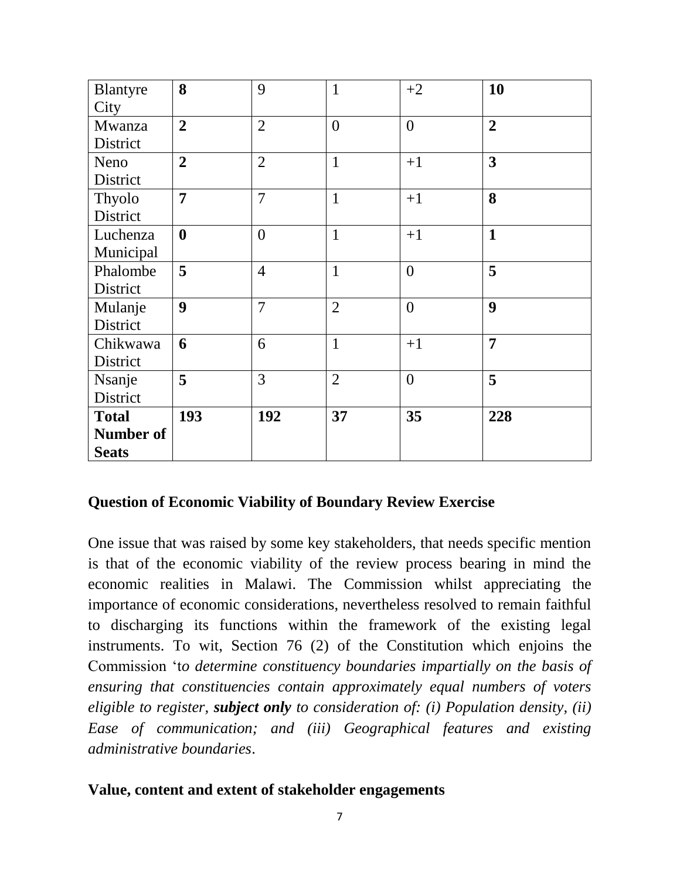| Blantyre     | 8                | 9              | $\mathbf{1}$   | $+2$           | 10                      |  |
|--------------|------------------|----------------|----------------|----------------|-------------------------|--|
| City         |                  |                |                |                |                         |  |
| Mwanza       | $\overline{2}$   | $\overline{2}$ | $\overline{0}$ | $\overline{0}$ | $\overline{2}$          |  |
| District     |                  |                |                |                |                         |  |
| Neno         | $\overline{2}$   | $\overline{2}$ | $\mathbf{1}$   | $+1$           | $\overline{\mathbf{3}}$ |  |
| District     |                  |                |                |                |                         |  |
| Thyolo       | $\overline{7}$   | $\overline{7}$ | $\mathbf{1}$   | $+1$           | 8                       |  |
| District     |                  |                |                |                |                         |  |
| Luchenza     | $\boldsymbol{0}$ | $\overline{0}$ | $\mathbf{1}$   | $+1$           | $\mathbf{1}$            |  |
| Municipal    |                  |                |                |                |                         |  |
| Phalombe     | 5                | $\overline{4}$ | $\mathbf{1}$   | $\overline{0}$ | 5                       |  |
| District     |                  |                |                |                |                         |  |
| Mulanje      | 9                | $\overline{7}$ | $\overline{2}$ | $\overline{0}$ | $\boldsymbol{9}$        |  |
| District     |                  |                |                |                |                         |  |
| Chikwawa     | 6                | 6              | $\mathbf{1}$   | $+1$           | $\overline{7}$          |  |
| District     |                  |                |                |                |                         |  |
| Nsanje       | 5                | 3              | $\overline{2}$ | $\overline{0}$ | 5                       |  |
| District     |                  |                |                |                |                         |  |
| <b>Total</b> | 193              | 192            | 37             | 35             | 228                     |  |
| Number of    |                  |                |                |                |                         |  |
| <b>Seats</b> |                  |                |                |                |                         |  |

#### **Question of Economic Viability of Boundary Review Exercise**

One issue that was raised by some key stakeholders, that needs specific mention is that of the economic viability of the review process bearing in mind the economic realities in Malawi. The Commission whilst appreciating the importance of economic considerations, nevertheless resolved to remain faithful to discharging its functions within the framework of the existing legal instruments. To wit, Section 76 (2) of the Constitution which enjoins the Commission 't*o determine constituency boundaries impartially on the basis of ensuring that constituencies contain approximately equal numbers of voters eligible to register, subject only to consideration of: (i) Population density, (ii) Ease of communication; and (iii) Geographical features and existing administrative boundaries*.

#### **Value, content and extent of stakeholder engagements**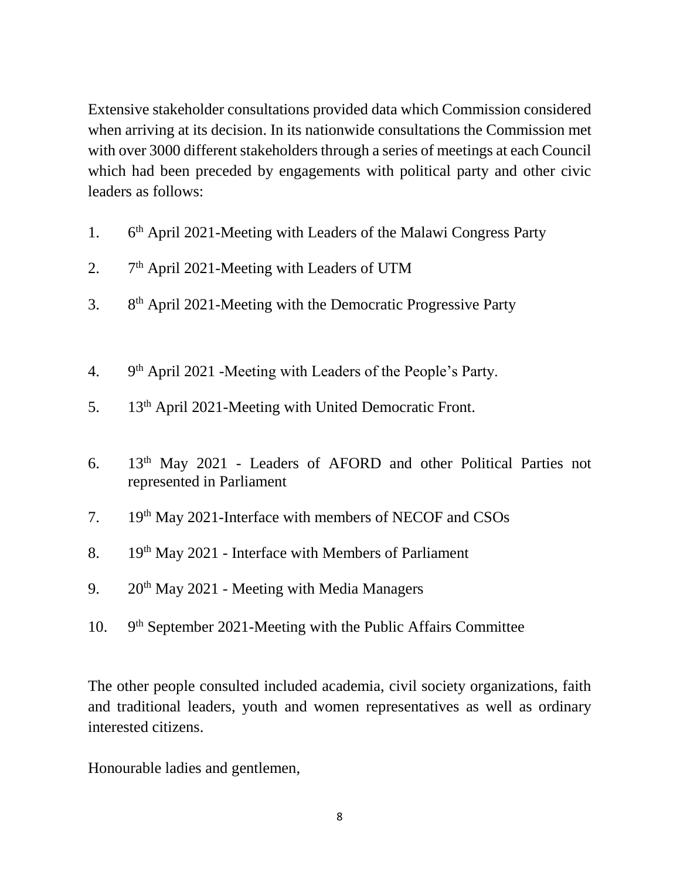Extensive stakeholder consultations provided data which Commission considered when arriving at its decision. In its nationwide consultations the Commission met with over 3000 different stakeholders through a series of meetings at each Council which had been preceded by engagements with political party and other civic leaders as follows:

- 1. 6 6<sup>th</sup> April 2021-Meeting with Leaders of the Malawi Congress Party
- $2.$ 7<sup>th</sup> April 2021-Meeting with Leaders of UTM
- $3<sub>1</sub>$ 8<sup>th</sup> April 2021-Meeting with the Democratic Progressive Party
- $\overline{4}$ . 9<sup>th</sup> April 2021 -Meeting with Leaders of the People's Party.
- 5. 13th April 2021-Meeting with United Democratic Front.
- 6. 13th May 2021 Leaders of AFORD and other Political Parties not represented in Parliament
- 7. 19th May 2021-Interface with members of NECOF and CSOs
- 8. 19<sup>th</sup> May 2021 Interface with Members of Parliament
- 9.  $20^{th}$  May 2021 Meeting with Media Managers
- 10. 9<sup>th</sup> September 2021-Meeting with the Public Affairs Committee

The other people consulted included academia, civil society organizations, faith and traditional leaders, youth and women representatives as well as ordinary interested citizens.

Honourable ladies and gentlemen,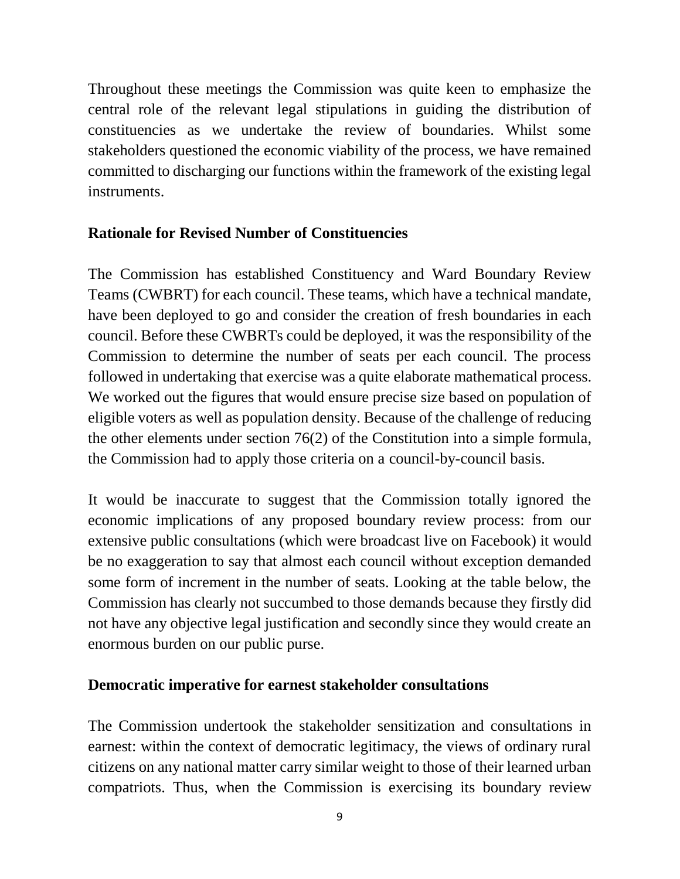Throughout these meetings the Commission was quite keen to emphasize the central role of the relevant legal stipulations in guiding the distribution of constituencies as we undertake the review of boundaries. Whilst some stakeholders questioned the economic viability of the process, we have remained committed to discharging our functions within the framework of the existing legal instruments.

## **Rationale for Revised Number of Constituencies**

The Commission has established Constituency and Ward Boundary Review Teams (CWBRT) for each council. These teams, which have a technical mandate, have been deployed to go and consider the creation of fresh boundaries in each council. Before these CWBRTs could be deployed, it was the responsibility of the Commission to determine the number of seats per each council. The process followed in undertaking that exercise was a quite elaborate mathematical process. We worked out the figures that would ensure precise size based on population of eligible voters as well as population density. Because of the challenge of reducing the other elements under section 76(2) of the Constitution into a simple formula, the Commission had to apply those criteria on a council-by-council basis.

It would be inaccurate to suggest that the Commission totally ignored the economic implications of any proposed boundary review process: from our extensive public consultations (which were broadcast live on Facebook) it would be no exaggeration to say that almost each council without exception demanded some form of increment in the number of seats. Looking at the table below, the Commission has clearly not succumbed to those demands because they firstly did not have any objective legal justification and secondly since they would create an enormous burden on our public purse.

#### **Democratic imperative for earnest stakeholder consultations**

The Commission undertook the stakeholder sensitization and consultations in earnest: within the context of democratic legitimacy, the views of ordinary rural citizens on any national matter carry similar weight to those of their learned urban compatriots. Thus, when the Commission is exercising its boundary review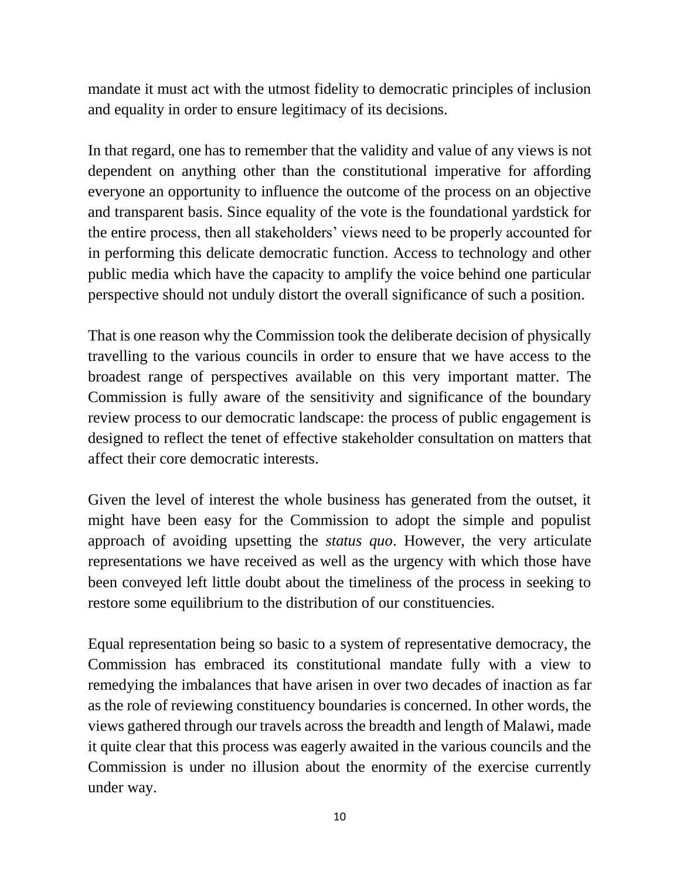mandate it must act with the utmost fidelity to democratic principles of inclusion and equality in order to ensure legitimacy of its decisions.

In that regard, one has to remember that the validity and value of any views is not dependent on anything other than the constitutional imperative for affording everyone an opportunity to influence the outcome of the process on an objective and transparent basis. Since equality of the vote is the foundational yardstick for the entire process, then all stakeholders' views need to be properly accounted for in performing this delicate democratic function. Access to technology and other public media which have the capacity to amplify the voice behind one particular perspective should not unduly distort the overall significance of such a position.

That is one reason why the Commission took the deliberate decision of physically travelling to the various councils in order to ensure that we have access to the broadest range of perspectives available on this very important matter. The Commission is fully aware of the sensitivity and significance of the boundary review process to our democratic landscape: the process of public engagement is designed to reflect the tenet of effective stakeholder consultation on matters that affect their core democratic interests.

Given the level of interest the whole business has generated from the outset, it might have been easy for the Commission to adopt the simple and populist approach of avoiding upsetting the *status quo*. However, the very articulate representations we have received as well as the urgency with which those have been conveyed left little doubt about the timeliness of the process in seeking to restore some equilibrium to the distribution of our constituencies.

Equal representation being so basic to a system of representative democracy, the Commission has embraced its constitutional mandate fully with a view to remedying the imbalances that have arisen in over two decades of inaction as far as the role of reviewing constituency boundaries is concerned. In other words, the views gathered through our travels across the breadth and length of Malawi, made it quite clear that this process was eagerly awaited in the various councils and the Commission is under no illusion about the enormity of the exercise currently under way.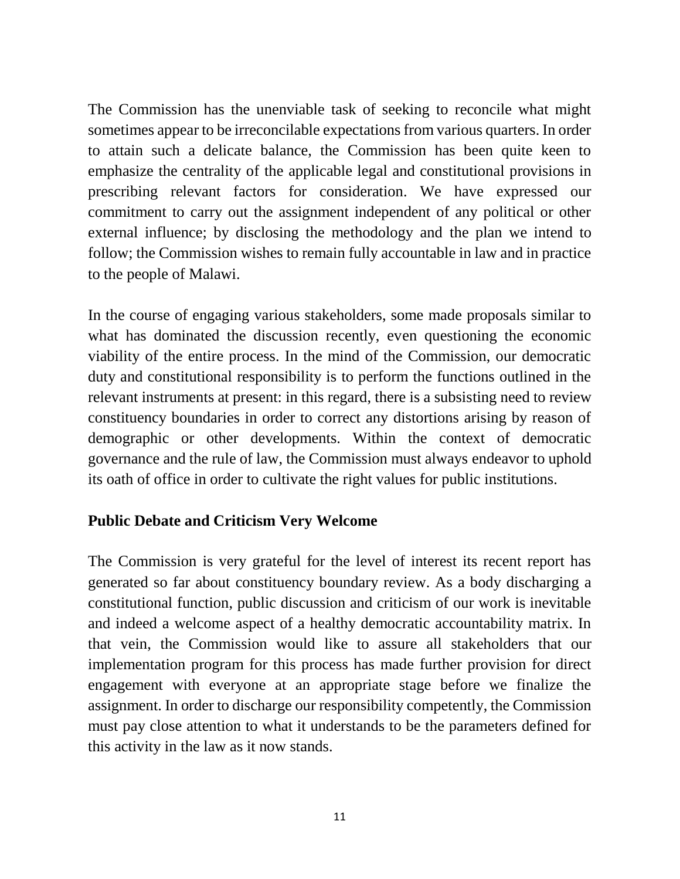The Commission has the unenviable task of seeking to reconcile what might sometimes appear to be irreconcilable expectations from various quarters. In order to attain such a delicate balance, the Commission has been quite keen to emphasize the centrality of the applicable legal and constitutional provisions in prescribing relevant factors for consideration. We have expressed our commitment to carry out the assignment independent of any political or other external influence; by disclosing the methodology and the plan we intend to follow; the Commission wishes to remain fully accountable in law and in practice to the people of Malawi.

In the course of engaging various stakeholders, some made proposals similar to what has dominated the discussion recently, even questioning the economic viability of the entire process. In the mind of the Commission, our democratic duty and constitutional responsibility is to perform the functions outlined in the relevant instruments at present: in this regard, there is a subsisting need to review constituency boundaries in order to correct any distortions arising by reason of demographic or other developments. Within the context of democratic governance and the rule of law, the Commission must always endeavor to uphold its oath of office in order to cultivate the right values for public institutions.

#### **Public Debate and Criticism Very Welcome**

The Commission is very grateful for the level of interest its recent report has generated so far about constituency boundary review. As a body discharging a constitutional function, public discussion and criticism of our work is inevitable and indeed a welcome aspect of a healthy democratic accountability matrix. In that vein, the Commission would like to assure all stakeholders that our implementation program for this process has made further provision for direct engagement with everyone at an appropriate stage before we finalize the assignment. In order to discharge our responsibility competently, the Commission must pay close attention to what it understands to be the parameters defined for this activity in the law as it now stands.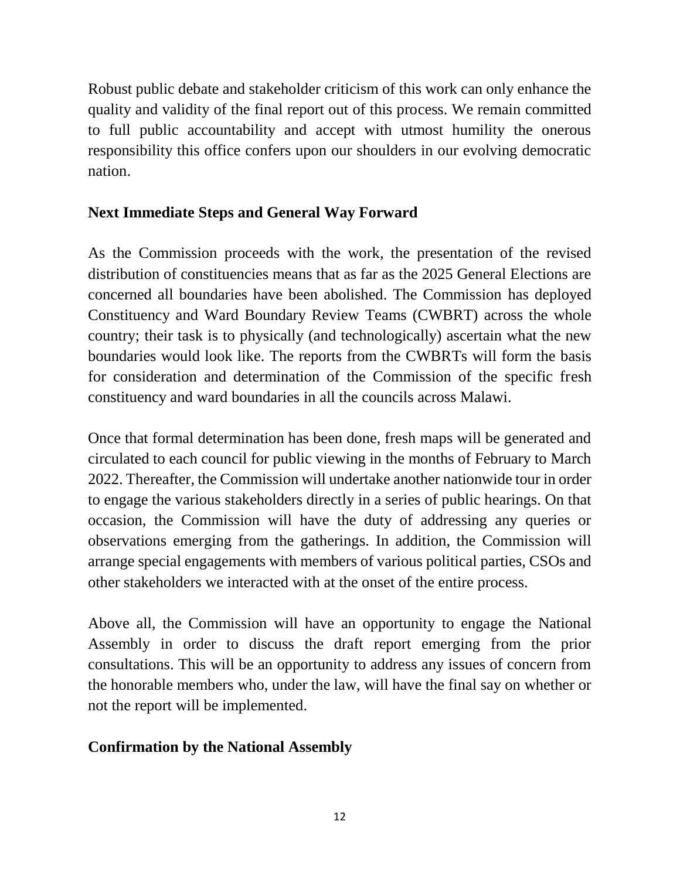Robust public debate and stakeholder criticism of this work can only enhance the quality and validity of the final report out of this process. We remain committed to full public accountability and accept with utmost humility the onerous responsibility this office confers upon our shoulders in our evolving democratic nation.

# **Next Immediate Steps and General Way Forward**

As the Commission proceeds with the work, the presentation of the revised distribution of constituencies means that as far as the 2025 General Elections are concerned all boundaries have been abolished. The Commission has deployed Constituency and Ward Boundary Review Teams (CWBRT) across the whole country; their task is to physically (and technologically) ascertain what the new boundaries would look like. The reports from the CWBRTs will form the basis for consideration and determination of the Commission of the specific fresh constituency and ward boundaries in all the councils across Malawi.

Once that formal determination has been done, fresh maps will be generated and circulated to each council for public viewing in the months of February to March 2022. Thereafter, the Commission will undertake another nationwide tour in order to engage the various stakeholders directly in a series of public hearings. On that occasion, the Commission will have the duty of addressing any queries or observations emerging from the gatherings. In addition, the Commission will arrange special engagements with members of various political parties, CSOs and other stakeholders we interacted with at the onset of the entire process.

Above all, the Commission will have an opportunity to engage the National Assembly in order to discuss the draft report emerging from the prior consultations. This will be an opportunity to address any issues of concern from the honorable members who, under the law, will have the final say on whether or not the report will be implemented.

## **Confirmation by the National Assembly**